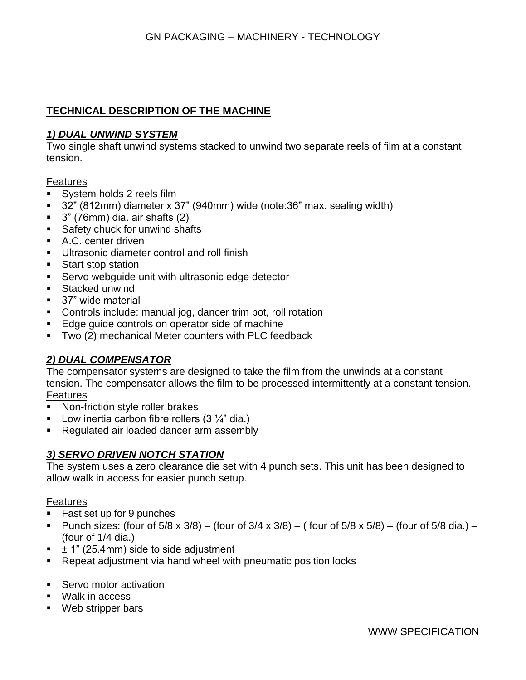# **TECHNICAL DESCRIPTION OF THE MACHINE**

### *1) DUAL UNWIND SYSTEM*

Two single shaft unwind systems stacked to unwind two separate reels of film at a constant tension.

#### **Features**

- System holds 2 reels film
- 32" (812mm) diameter x 37" (940mm) wide (note:36" max. sealing width)
- $\blacksquare$  3" (76mm) dia. air shafts (2)
- Safety chuck for unwind shafts
- A.C. center driven
- **■** Ultrasonic diameter control and roll finish
- Start stop station
- **EXECT** Servo webguide unit with ultrasonic edge detector
- Stacked unwind
- 37" wide material
- Controls include: manual jog, dancer trim pot, roll rotation
- Edge guide controls on operator side of machine
- Two (2) mechanical Meter counters with PLC feedback

### *2) DUAL COMPENSATOR*

The compensator systems are designed to take the film from the unwinds at a constant tension. The compensator allows the film to be processed intermittently at a constant tension. Features

- Non-friction style roller brakes
- **•** Low inertia carbon fibre rollers  $(3 \frac{1}{4})$  dia.)
- Regulated air loaded dancer arm assembly

### *3) SERVO DRIVEN NOTCH STATION*

The system uses a zero clearance die set with 4 punch sets. This unit has been designed to allow walk in access for easier punch setup.

#### **Features**

- Fast set up for 9 punches
- **•** Punch sizes: (four of  $5/8 \times 3/8$ ) (four of  $3/4 \times 3/8$ ) (four of  $5/8 \times 5/8$ ) (four of  $5/8$  dia.) (four of 1/4 dia.)
- $\pm$  1" (25.4mm) side to side adjustment
- Repeat adjustment via hand wheel with pneumatic position locks
- Servo motor activation
- Walk in access
- Web stripper bars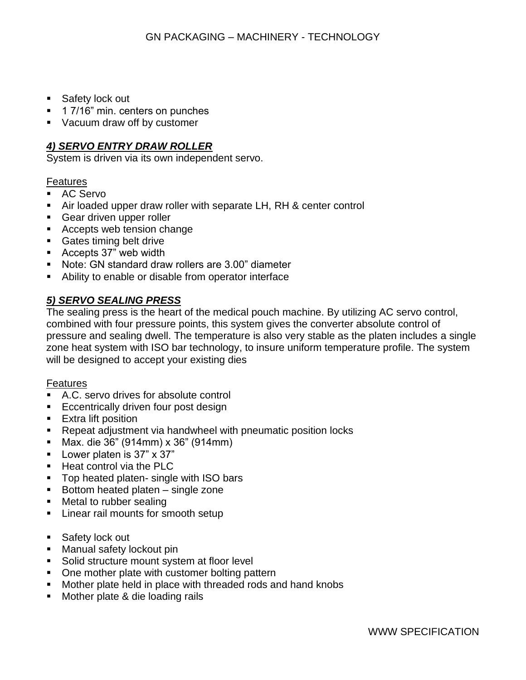- Safety lock out
- 1 7/16" min. centers on punches
- Vacuum draw off by customer

# *4) SERVO ENTRY DRAW ROLLER*

System is driven via its own independent servo.

#### Features

- AC Servo
- Air loaded upper draw roller with separate LH, RH & center control
- Gear driven upper roller
- Accepts web tension change
- Gates timing belt drive
- Accepts 37" web width
- Note: GN standard draw rollers are 3.00" diameter
- Ability to enable or disable from operator interface

# *5) SERVO SEALING PRESS*

The sealing press is the heart of the medical pouch machine. By utilizing AC servo control, combined with four pressure points, this system gives the converter absolute control of pressure and sealing dwell. The temperature is also very stable as the platen includes a single zone heat system with ISO bar technology, to insure uniform temperature profile. The system will be designed to accept your existing dies

#### **Features**

- A.C. servo drives for absolute control
- **Eccentrically driven four post design**
- Extra lift position
- Repeat adjustment via handwheel with pneumatic position locks
- Max. die 36" (914mm) x 36" (914mm)
- Lower platen is 37" x 37"
- Heat control via the PLC
- Top heated platen- single with ISO bars
- $\blacksquare$  Bottom heated platen single zone
- Metal to rubber sealing
- Linear rail mounts for smooth setup
- Safety lock out
- **E** Manual safety lockout pin
- Solid structure mount system at floor level
- One mother plate with customer bolting pattern
- Mother plate held in place with threaded rods and hand knobs
- Mother plate & die loading rails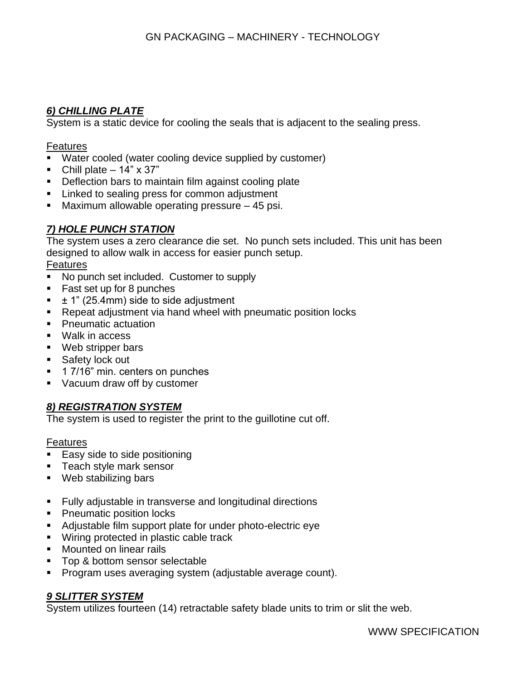# *6) CHILLING PLATE*

System is a static device for cooling the seals that is adjacent to the sealing press.

### Features

- Water cooled (water cooling device supplied by customer)
- Chill plate  $-14" \times 37"$
- **Deflection bars to maintain film against cooling plate**
- **EXECT** Linked to sealing press for common adjustment
- Maximum allowable operating pressure  $-45$  psi.

# *7) HOLE PUNCH STATION*

The system uses a zero clearance die set. No punch sets included. This unit has been designed to allow walk in access for easier punch setup.

### **Features**

- No punch set included. Customer to supply
- Fast set up for 8 punches
- $\pm$  1" (25.4mm) side to side adjustment
- Repeat adjustment via hand wheel with pneumatic position locks
- Pneumatic actuation
- Walk in access
- Web stripper bars
- Safety lock out
- 1 7/16" min. centers on punches
- Vacuum draw off by customer

# *8) REGISTRATION SYSTEM*

The system is used to register the print to the guillotine cut off.

### **Features**

- Easy side to side positioning
- Teach style mark sensor
- Web stabilizing bars
- Fully adjustable in transverse and longitudinal directions
- Pneumatic position locks
- Adjustable film support plate for under photo-electric eye
- Wiring protected in plastic cable track
- **■** Mounted on linear rails
- Top & bottom sensor selectable
- Program uses averaging system (adjustable average count).

### *9 SLITTER SYSTEM*

System utilizes fourteen (14) retractable safety blade units to trim or slit the web.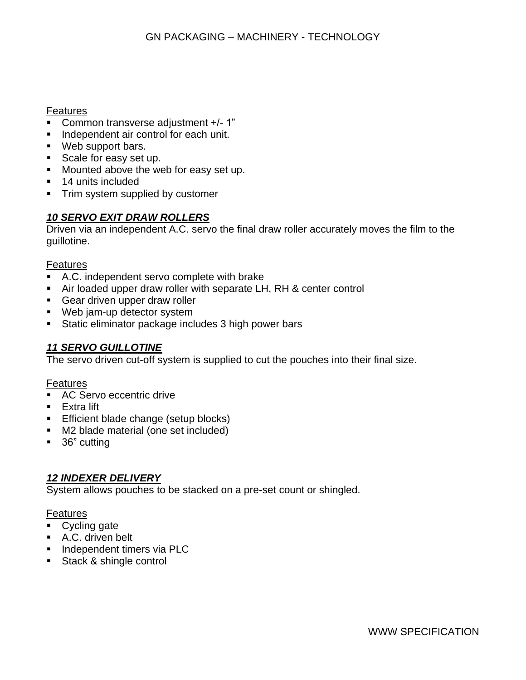## Features

- Common transverse adjustment +/- 1"
- Independent air control for each unit.
- Web support bars.
- Scale for easy set up.
- Mounted above the web for easy set up.
- 14 units included
- **•** Trim system supplied by customer

# *10 SERVO EXIT DRAW ROLLERS*

Driven via an independent A.C. servo the final draw roller accurately moves the film to the guillotine.

### Features

- A.C. independent servo complete with brake
- Air loaded upper draw roller with separate LH, RH & center control
- Gear driven upper draw roller
- Web jam-up detector system
- **EXECT:** Static eliminator package includes 3 high power bars

# *11 SERVO GUILLOTINE*

The servo driven cut-off system is supplied to cut the pouches into their final size.

### **Features**

- AC Servo eccentric drive
- Extra lift
- Efficient blade change (setup blocks)
- M2 blade material (one set included)
- 36" cutting

# *12 INDEXER DELIVERY*

System allows pouches to be stacked on a pre-set count or shingled.

### **Features**

- Cycling gate
- A.C. driven belt
- **·** Independent timers via PLC
- Stack & shingle control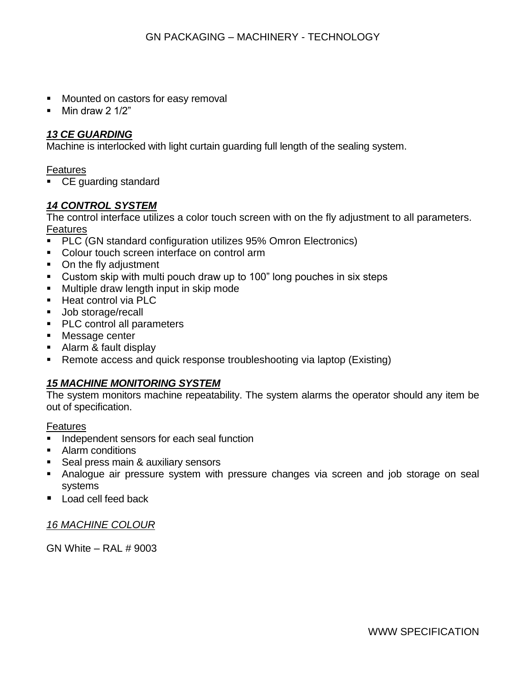- Mounted on castors for easy removal
- $\blacksquare$  Min draw 2 1/2"

## *13 CE GUARDING*

Machine is interlocked with light curtain guarding full length of the sealing system.

Features

■ CE guarding standard

## *14 CONTROL SYSTEM*

The control interface utilizes a color touch screen with on the fly adjustment to all parameters. Features

- PLC (GN standard configuration utilizes 95% Omron Electronics)
- Colour touch screen interface on control arm
- On the fly adjustment
- Custom skip with multi pouch draw up to 100" long pouches in six steps
- Multiple draw length input in skip mode
- Heat control via PLC
- Job storage/recall
- PLC control all parameters
- Message center
- Alarm & fault display
- Remote access and quick response troubleshooting via laptop (Existing)

### *15 MACHINE MONITORING SYSTEM*

The system monitors machine repeatability. The system alarms the operator should any item be out of specification.

Features

- Independent sensors for each seal function
- Alarm conditions
- **EXEC** Seal press main & auxiliary sensors
- **E** Analogue air pressure system with pressure changes via screen and job storage on seal systems
- Load cell feed back

*16 MACHINE COLOUR*

GN White – RAL # 9003